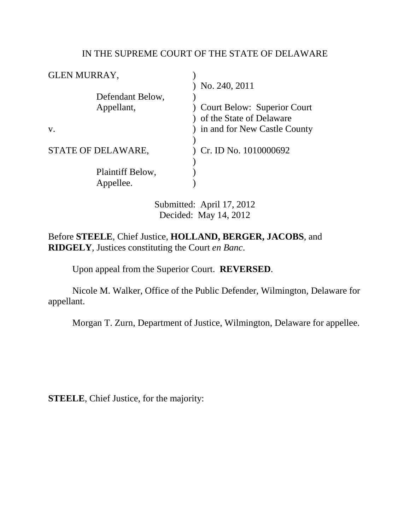### IN THE SUPREME COURT OF THE STATE OF DELAWARE

| No. 240, 2011                |
|------------------------------|
|                              |
| Court Below: Superior Court  |
| of the State of Delaware     |
| in and for New Castle County |
|                              |
| Cr. ID No. 1010000692        |
|                              |
|                              |
|                              |
|                              |

Submitted: April 17, 2012 Decided: May 14, 2012

Before **STEELE**, Chief Justice, **HOLLAND, BERGER, JACOBS**, and **RIDGELY**, Justices constituting the Court *en Banc*.

Upon appeal from the Superior Court. **REVERSED**.

 Nicole M. Walker, Office of the Public Defender, Wilmington, Delaware for appellant.

Morgan T. Zurn, Department of Justice, Wilmington, Delaware for appellee.

**STEELE**, Chief Justice, for the majority: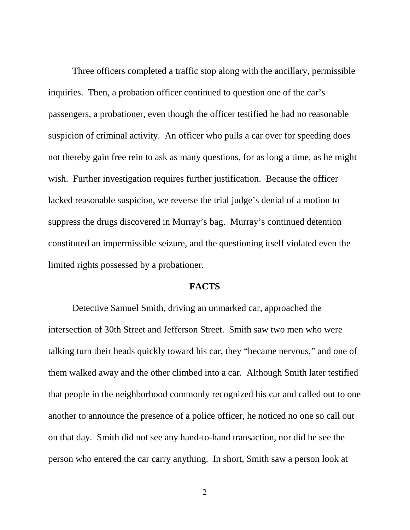Three officers completed a traffic stop along with the ancillary, permissible inquiries. Then, a probation officer continued to question one of the car's passengers, a probationer, even though the officer testified he had no reasonable suspicion of criminal activity. An officer who pulls a car over for speeding does not thereby gain free rein to ask as many questions, for as long a time, as he might wish. Further investigation requires further justification. Because the officer lacked reasonable suspicion, we reverse the trial judge's denial of a motion to suppress the drugs discovered in Murray's bag. Murray's continued detention constituted an impermissible seizure, and the questioning itself violated even the limited rights possessed by a probationer.

#### **FACTS**

 Detective Samuel Smith, driving an unmarked car, approached the intersection of 30th Street and Jefferson Street. Smith saw two men who were talking turn their heads quickly toward his car, they "became nervous," and one of them walked away and the other climbed into a car. Although Smith later testified that people in the neighborhood commonly recognized his car and called out to one another to announce the presence of a police officer, he noticed no one so call out on that day. Smith did not see any hand-to-hand transaction, nor did he see the person who entered the car carry anything. In short, Smith saw a person look at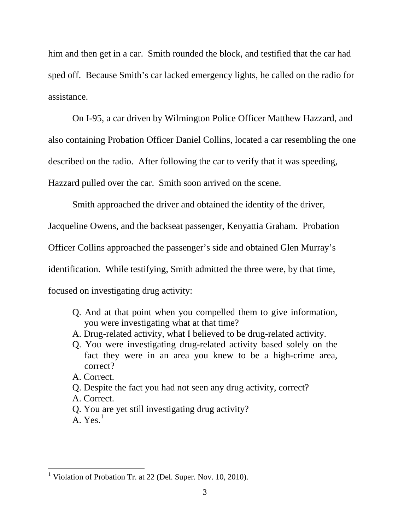him and then get in a car. Smith rounded the block, and testified that the car had sped off. Because Smith's car lacked emergency lights, he called on the radio for assistance.

 On I-95, a car driven by Wilmington Police Officer Matthew Hazzard, and also containing Probation Officer Daniel Collins, located a car resembling the one described on the radio. After following the car to verify that it was speeding, Hazzard pulled over the car. Smith soon arrived on the scene.

Smith approached the driver and obtained the identity of the driver,

Jacqueline Owens, and the backseat passenger, Kenyattia Graham. Probation

Officer Collins approached the passenger's side and obtained Glen Murray's

identification. While testifying, Smith admitted the three were, by that time,

focused on investigating drug activity:

- Q. And at that point when you compelled them to give information, you were investigating what at that time?
- A. Drug-related activity, what I believed to be drug-related activity.
- Q. You were investigating drug-related activity based solely on the fact they were in an area you knew to be a high-crime area, correct?
- A. Correct.
- Q. Despite the fact you had not seen any drug activity, correct?
- A. Correct.
- Q. You are yet still investigating drug activity?
- A.  $Yes.$ <sup>1</sup>

<sup>&</sup>lt;sup>1</sup> Violation of Probation Tr. at 22 (Del. Super. Nov. 10, 2010).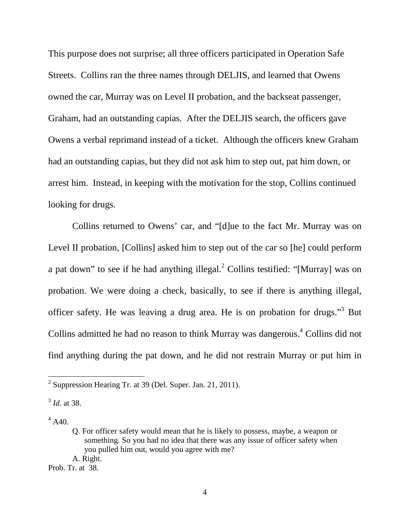This purpose does not surprise; all three officers participated in Operation Safe Streets. Collins ran the three names through DELJIS, and learned that Owens owned the car, Murray was on Level II probation, and the backseat passenger, Graham, had an outstanding capias. After the DELJIS search, the officers gave Owens a verbal reprimand instead of a ticket. Although the officers knew Graham had an outstanding capias, but they did not ask him to step out, pat him down, or arrest him. Instead, in keeping with the motivation for the stop, Collins continued looking for drugs.

Collins returned to Owens' car, and "[d]ue to the fact Mr. Murray was on Level II probation, [Collins] asked him to step out of the car so [he] could perform a pat down" to see if he had anything illegal. $^2$  Collins testified: "[Murray] was on probation. We were doing a check, basically, to see if there is anything illegal, officer safety. He was leaving a drug area. He is on probation for drugs."<sup>3</sup> But Collins admitted he had no reason to think Murray was dangerous.<sup>4</sup> Collins did not find anything during the pat down, and he did not restrain Murray or put him in

 $^{4}$  A40.

 $\overline{a}$ 

Prob. Tr. at 38.

<sup>&</sup>lt;sup>2</sup> Suppression Hearing Tr. at 39 (Del. Super. Jan. 21, 2011).

<sup>3</sup> *Id*. at 38.

Q. For officer safety would mean that he is likely to possess, maybe, a weapon or something. So you had no idea that there was any issue of officer safety when you pulled him out, would you agree with me? A. Right.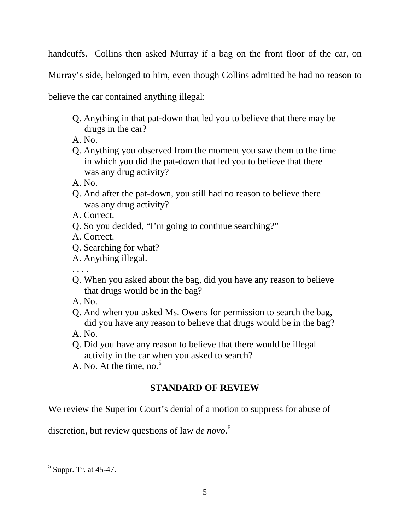handcuffs. Collins then asked Murray if a bag on the front floor of the car, on

Murray's side, belonged to him, even though Collins admitted he had no reason to

believe the car contained anything illegal:

- Q. Anything in that pat-down that led you to believe that there may be drugs in the car?
- A. No.
- Q. Anything you observed from the moment you saw them to the time in which you did the pat-down that led you to believe that there was any drug activity?
- A. No.
- Q. And after the pat-down, you still had no reason to believe there was any drug activity?
- A. Correct.
- Q. So you decided, "I'm going to continue searching?"
- A. Correct.
- Q. Searching for what?
- A. Anything illegal.

. . . .

- Q. When you asked about the bag, did you have any reason to believe that drugs would be in the bag?
- A. No.
- Q. And when you asked Ms. Owens for permission to search the bag, did you have any reason to believe that drugs would be in the bag?
- A. No.
- Q. Did you have any reason to believe that there would be illegal activity in the car when you asked to search?
- A. No. At the time, no. $5<sup>5</sup>$

# **STANDARD OF REVIEW**

We review the Superior Court's denial of a motion to suppress for abuse of

discretion, but review questions of law *de novo*. 6

<sup>&</sup>lt;sup>5</sup> Suppr. Tr. at 45-47.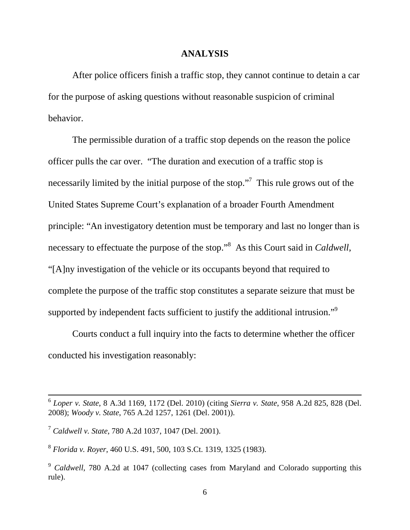#### **ANALYSIS**

 After police officers finish a traffic stop, they cannot continue to detain a car for the purpose of asking questions without reasonable suspicion of criminal behavior.

 The permissible duration of a traffic stop depends on the reason the police officer pulls the car over. "The duration and execution of a traffic stop is necessarily limited by the initial purpose of the stop."<sup>7</sup> This rule grows out of the United States Supreme Court's explanation of a broader Fourth Amendment principle: "An investigatory detention must be temporary and last no longer than is necessary to effectuate the purpose of the stop."<sup>8</sup> As this Court said in *Caldwell*, "[A]ny investigation of the vehicle or its occupants beyond that required to complete the purpose of the traffic stop constitutes a separate seizure that must be supported by independent facts sufficient to justify the additional intrusion."<sup>9</sup>

 Courts conduct a full inquiry into the facts to determine whether the officer conducted his investigation reasonably:

 $\overline{a}$ 

8 *Florida v. Royer*, 460 U.S. 491, 500, 103 S.Ct. 1319, 1325 (1983).

<sup>6</sup> *Loper v. State*, 8 A.3d 1169, 1172 (Del. 2010) (citing *Sierra v. State*, 958 A.2d 825, 828 (Del. 2008); *Woody v. State*, 765 A.2d 1257, 1261 (Del. 2001)).

<sup>7</sup> *Caldwell v. State*, 780 A.2d 1037, 1047 (Del. 2001).

<sup>9</sup> *Caldwell*, 780 A.2d at 1047 (collecting cases from Maryland and Colorado supporting this rule).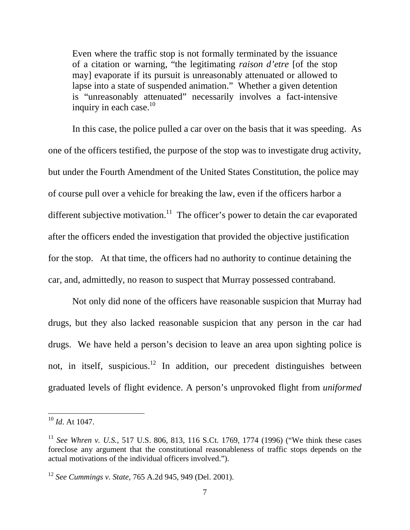Even where the traffic stop is not formally terminated by the issuance of a citation or warning, "the legitimating *raison d'etre* [of the stop may] evaporate if its pursuit is unreasonably attenuated or allowed to lapse into a state of suspended animation." Whether a given detention is "unreasonably attenuated" necessarily involves a fact-intensive inquiry in each case.<sup>10</sup>

 In this case, the police pulled a car over on the basis that it was speeding. As one of the officers testified, the purpose of the stop was to investigate drug activity, but under the Fourth Amendment of the United States Constitution, the police may of course pull over a vehicle for breaking the law, even if the officers harbor a different subjective motivation.<sup>11</sup> The officer's power to detain the car evaporated after the officers ended the investigation that provided the objective justification for the stop. At that time, the officers had no authority to continue detaining the car, and, admittedly, no reason to suspect that Murray possessed contraband.

Not only did none of the officers have reasonable suspicion that Murray had drugs, but they also lacked reasonable suspicion that any person in the car had drugs. We have held a person's decision to leave an area upon sighting police is not, in itself, suspicious.<sup>12</sup> In addition, our precedent distinguishes between graduated levels of flight evidence. A person's unprovoked flight from *uniformed*

<sup>10</sup> *Id*. At 1047.

<sup>11</sup> *See Whren v. U.S.*, 517 U.S. 806, 813, 116 S.Ct. 1769, 1774 (1996) ("We think these cases foreclose any argument that the constitutional reasonableness of traffic stops depends on the actual motivations of the individual officers involved.").

<sup>12</sup> *See Cummings v. State*, 765 A.2d 945, 949 (Del. 2001).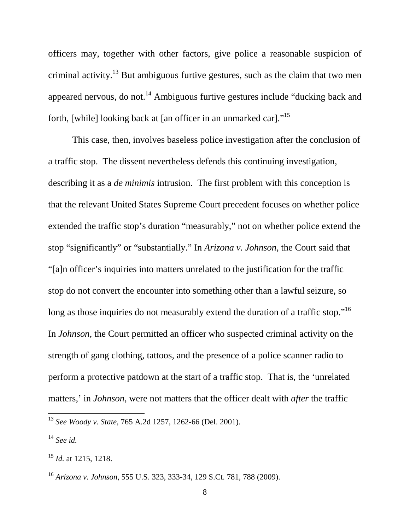officers may, together with other factors, give police a reasonable suspicion of criminal activity.<sup>13</sup> But ambiguous furtive gestures, such as the claim that two men appeared nervous, do not.<sup>14</sup> Ambiguous furtive gestures include "ducking back and forth, [while] looking back at [an officer in an unmarked car]."<sup>15</sup>

 This case, then, involves baseless police investigation after the conclusion of a traffic stop. The dissent nevertheless defends this continuing investigation, describing it as a *de minimis* intrusion. The first problem with this conception is that the relevant United States Supreme Court precedent focuses on whether police extended the traffic stop's duration "measurably," not on whether police extend the stop "significantly" or "substantially." In *Arizona v. Johnson*, the Court said that "[a]n officer's inquiries into matters unrelated to the justification for the traffic stop do not convert the encounter into something other than a lawful seizure, so long as those inquiries do not measurably extend the duration of a traffic stop."<sup>16</sup> In *Johnson*, the Court permitted an officer who suspected criminal activity on the strength of gang clothing, tattoos, and the presence of a police scanner radio to perform a protective patdown at the start of a traffic stop. That is, the 'unrelated matters,' in *Johnson*, were not matters that the officer dealt with *after* the traffic

<sup>13</sup> *See Woody v. State*, 765 A.2d 1257, 1262-66 (Del. 2001).

<sup>14</sup> *See id.* 

<sup>15</sup> *Id.* at 1215, 1218.

<sup>16</sup> *Arizona v. Johnson*, 555 U.S. 323, 333-34, 129 S.Ct. 781, 788 (2009).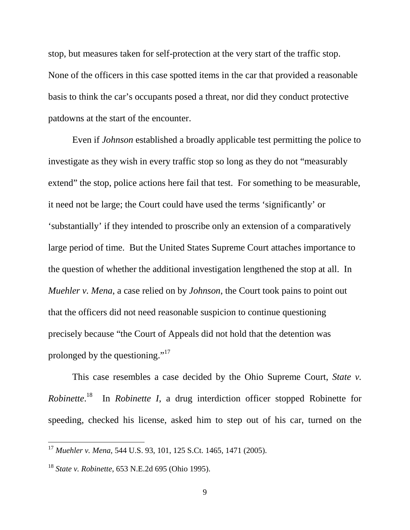stop, but measures taken for self-protection at the very start of the traffic stop. None of the officers in this case spotted items in the car that provided a reasonable basis to think the car's occupants posed a threat, nor did they conduct protective patdowns at the start of the encounter.

 Even if *Johnson* established a broadly applicable test permitting the police to investigate as they wish in every traffic stop so long as they do not "measurably extend" the stop, police actions here fail that test. For something to be measurable, it need not be large; the Court could have used the terms 'significantly' or 'substantially' if they intended to proscribe only an extension of a comparatively large period of time. But the United States Supreme Court attaches importance to the question of whether the additional investigation lengthened the stop at all. In *Muehler v. Mena*, a case relied on by *Johnson*, the Court took pains to point out that the officers did not need reasonable suspicion to continue questioning precisely because "the Court of Appeals did not hold that the detention was prolonged by the questioning."<sup>17</sup>

This case resembles a case decided by the Ohio Supreme Court, *State v. Robinette*. <sup>18</sup> In *Robinette I*, a drug interdiction officer stopped Robinette for speeding, checked his license, asked him to step out of his car, turned on the

<sup>17</sup> *Muehler v. Mena*, 544 U.S. 93, 101, 125 S.Ct. 1465, 1471 (2005).

<sup>18</sup> *State v. Robinette*, 653 N.E.2d 695 (Ohio 1995).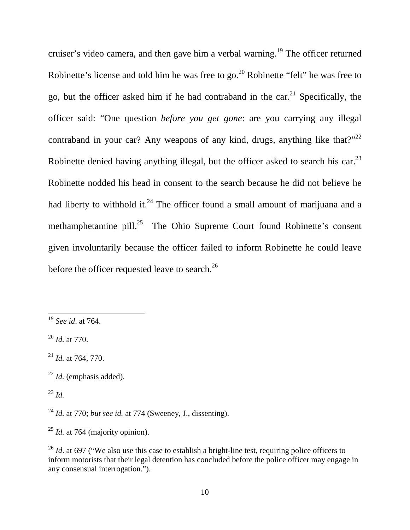cruiser's video camera, and then gave him a verbal warning.<sup>19</sup> The officer returned Robinette's license and told him he was free to go.<sup>20</sup> Robinette "felt" he was free to go, but the officer asked him if he had contraband in the car.<sup>21</sup> Specifically, the officer said: "One question *before you get gone*: are you carrying any illegal contraband in your car? Any weapons of any kind, drugs, anything like that?"<sup>22</sup> Robinette denied having anything illegal, but the officer asked to search his car.<sup>23</sup> Robinette nodded his head in consent to the search because he did not believe he had liberty to withhold it.<sup>24</sup> The officer found a small amount of marijuana and a methamphetamine pill.<sup>25</sup> The Ohio Supreme Court found Robinette's consent given involuntarily because the officer failed to inform Robinette he could leave before the officer requested leave to search.<sup>26</sup>

 $^{23}$  *Id.* 

<sup>19</sup> *See id*. at 764.

<sup>20</sup> *Id.* at 770.

<sup>21</sup> *Id.* at 764, 770.

<sup>22</sup> *Id.* (emphasis added).

<sup>24</sup> *Id.* at 770; *but see id.* at 774 (Sweeney, J., dissenting).

<sup>25</sup> *Id.* at 764 (majority opinion).

<sup>&</sup>lt;sup>26</sup> *Id.* at 697 ("We also use this case to establish a bright-line test, requiring police officers to inform motorists that their legal detention has concluded before the police officer may engage in any consensual interrogation.").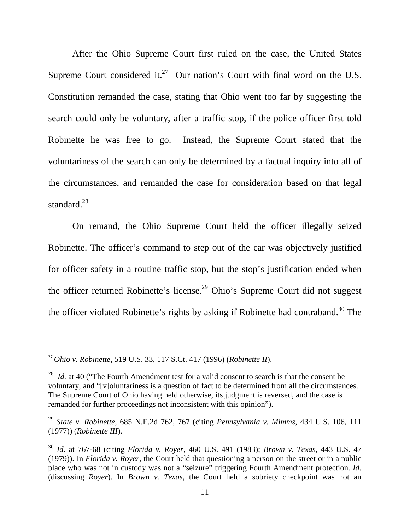After the Ohio Supreme Court first ruled on the case, the United States Supreme Court considered it.<sup>27</sup> Our nation's Court with final word on the U.S. Constitution remanded the case, stating that Ohio went too far by suggesting the search could only be voluntary, after a traffic stop, if the police officer first told Robinette he was free to go. Instead, the Supreme Court stated that the voluntariness of the search can only be determined by a factual inquiry into all of the circumstances, and remanded the case for consideration based on that legal standard.<sup>28</sup>

On remand, the Ohio Supreme Court held the officer illegally seized Robinette. The officer's command to step out of the car was objectively justified for officer safety in a routine traffic stop, but the stop's justification ended when the officer returned Robinette's license.<sup>29</sup> Ohio's Supreme Court did not suggest the officer violated Robinette's rights by asking if Robinette had contraband.<sup>30</sup> The

<sup>27</sup> *Ohio v. Robinette*, 519 U.S. 33, 117 S.Ct. 417 (1996) (*Robinette II*).

<sup>&</sup>lt;sup>28</sup> *Id.* at 40 ("The Fourth Amendment test for a valid consent to search is that the consent be voluntary, and "[v]oluntariness is a question of fact to be determined from all the circumstances. The Supreme Court of Ohio having held otherwise, its judgment is reversed, and the case is remanded for further proceedings not inconsistent with this opinion").

<sup>29</sup> *State v. Robinette*, 685 N.E.2d 762, 767 (citing *Pennsylvania v. Mimms*, 434 U.S. 106, 111 (1977)) (*Robinette III*).

<sup>30</sup> *Id.* at 767-68 (citing *Florida v. Royer*, 460 U.S. 491 (1983); *Brown v. Texas*, 443 U.S. 47 (1979)). In *Florida v. Royer*, the Court held that questioning a person on the street or in a public place who was not in custody was not a "seizure" triggering Fourth Amendment protection. *Id.* (discussing *Royer*). In *Brown v. Texas*, the Court held a sobriety checkpoint was not an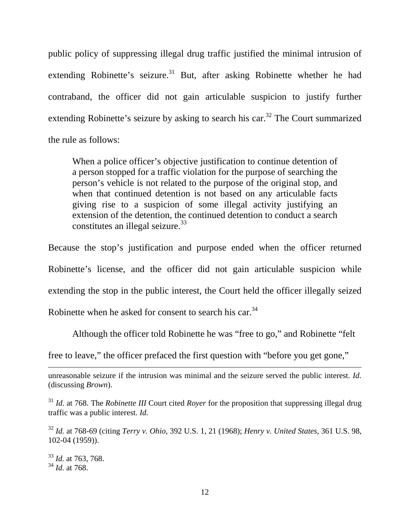public policy of suppressing illegal drug traffic justified the minimal intrusion of extending Robinette's seizure.<sup>31</sup> But, after asking Robinette whether he had contraband, the officer did not gain articulable suspicion to justify further extending Robinette's seizure by asking to search his car.<sup>32</sup> The Court summarized the rule as follows:

When a police officer's objective justification to continue detention of a person stopped for a traffic violation for the purpose of searching the person's vehicle is not related to the purpose of the original stop, and when that continued detention is not based on any articulable facts giving rise to a suspicion of some illegal activity justifying an extension of the detention, the continued detention to conduct a search constitutes an illegal seizure.  $33$ 

Because the stop's justification and purpose ended when the officer returned Robinette's license, and the officer did not gain articulable suspicion while extending the stop in the public interest, the Court held the officer illegally seized Robinette when he asked for consent to search his car.<sup>34</sup>

Although the officer told Robinette he was "free to go," and Robinette "felt

free to leave," the officer prefaced the first question with "before you get gone,"

unreasonable seizure if the intrusion was minimal and the seizure served the public interest. *Id.* (discussing *Brown*).

<sup>31</sup> *Id.* at 768. The *Robinette III* Court cited *Royer* for the proposition that suppressing illegal drug traffic was a public interest. *Id.* 

<sup>32</sup> *Id.* at 768-69 (citing *Terry v. Ohio*, 392 U.S. 1, 21 (1968); *Henry v. United States*, 361 U.S. 98, 102-04 (1959)).

<sup>33</sup> *Id.* at 763, 768. <sup>34</sup> *Id.* at 768.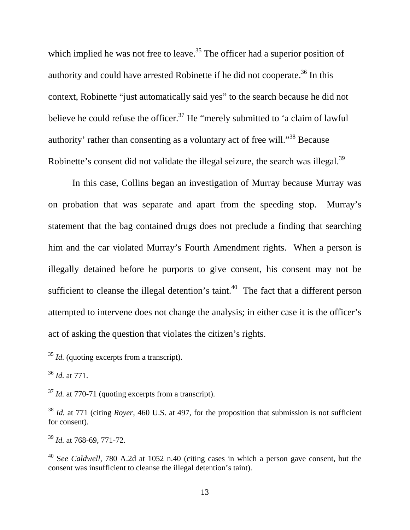which implied he was not free to leave.<sup>35</sup> The officer had a superior position of authority and could have arrested Robinette if he did not cooperate.<sup>36</sup> In this context, Robinette "just automatically said yes" to the search because he did not believe he could refuse the officer.<sup>37</sup> He "merely submitted to 'a claim of lawful authority' rather than consenting as a voluntary act of free will."<sup>38</sup> Because Robinette's consent did not validate the illegal seizure, the search was illegal.<sup>39</sup>

In this case, Collins began an investigation of Murray because Murray was on probation that was separate and apart from the speeding stop. Murray's statement that the bag contained drugs does not preclude a finding that searching him and the car violated Murray's Fourth Amendment rights. When a person is illegally detained before he purports to give consent, his consent may not be sufficient to cleanse the illegal detention's taint.<sup>40</sup> The fact that a different person attempted to intervene does not change the analysis; in either case it is the officer's act of asking the question that violates the citizen's rights.

<sup>36</sup> *Id.* at 771.

 $\overline{a}$ 

<sup>37</sup> *Id.* at 770-71 (quoting excerpts from a transcript).

<sup>38</sup> *Id.* at 771 (citing *Royer*, 460 U.S. at 497, for the proposition that submission is not sufficient for consent).

<sup>39</sup> *Id.* at 768-69, 771-72.

<sup>&</sup>lt;sup>35</sup> *Id.* (quoting excerpts from a transcript).

<sup>40</sup> S*ee Caldwell*, 780 A.2d at 1052 n.40 (citing cases in which a person gave consent, but the consent was insufficient to cleanse the illegal detention's taint).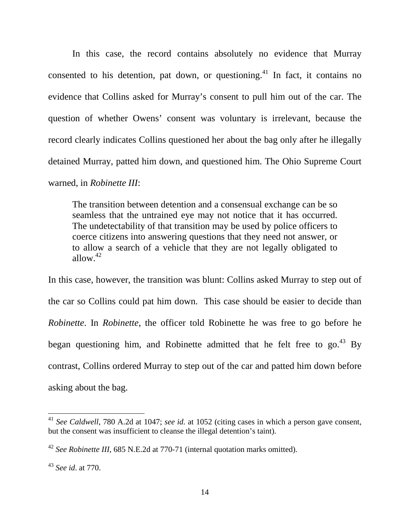In this case, the record contains absolutely no evidence that Murray consented to his detention, pat down, or questioning.<sup>41</sup> In fact, it contains no evidence that Collins asked for Murray's consent to pull him out of the car. The question of whether Owens' consent was voluntary is irrelevant, because the record clearly indicates Collins questioned her about the bag only after he illegally detained Murray, patted him down, and questioned him. The Ohio Supreme Court warned, in *Robinette III*:

The transition between detention and a consensual exchange can be so seamless that the untrained eye may not notice that it has occurred. The undetectability of that transition may be used by police officers to coerce citizens into answering questions that they need not answer, or to allow a search of a vehicle that they are not legally obligated to allow. $42$ 

In this case, however, the transition was blunt: Collins asked Murray to step out of the car so Collins could pat him down. This case should be easier to decide than *Robinette*. In *Robinette*, the officer told Robinette he was free to go before he began questioning him, and Robinette admitted that he felt free to  $\text{go.}^{43}$  By contrast, Collins ordered Murray to step out of the car and patted him down before asking about the bag.

<sup>41</sup> *See Caldwell*, 780 A.2d at 1047; *see id.* at 1052 (citing cases in which a person gave consent, but the consent was insufficient to cleanse the illegal detention's taint).

<sup>42</sup> *See Robinette III*, 685 N.E.2d at 770-71 (internal quotation marks omitted).

<sup>43</sup> *See id*. at 770.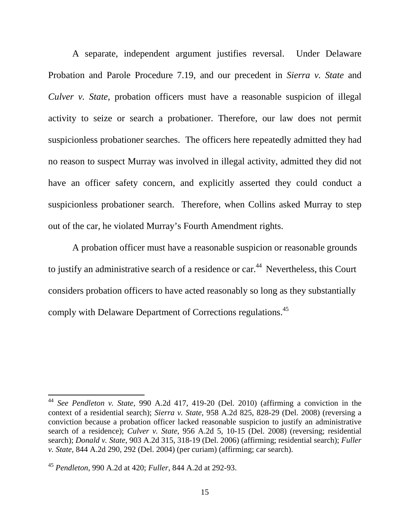A separate, independent argument justifies reversal. Under Delaware Probation and Parole Procedure 7.19, and our precedent in *Sierra v. State* and *Culver v. State*, probation officers must have a reasonable suspicion of illegal activity to seize or search a probationer. Therefore, our law does not permit suspicionless probationer searches. The officers here repeatedly admitted they had no reason to suspect Murray was involved in illegal activity, admitted they did not have an officer safety concern, and explicitly asserted they could conduct a suspicionless probationer search. Therefore, when Collins asked Murray to step out of the car, he violated Murray's Fourth Amendment rights.

A probation officer must have a reasonable suspicion or reasonable grounds to justify an administrative search of a residence or car.<sup>44</sup> Nevertheless, this Court considers probation officers to have acted reasonably so long as they substantially comply with Delaware Department of Corrections regulations.<sup>45</sup>

<sup>44</sup> *See Pendleton v. State*, 990 A.2d 417, 419-20 (Del. 2010) (affirming a conviction in the context of a residential search); *Sierra v. State*, 958 A.2d 825, 828-29 (Del. 2008) (reversing a conviction because a probation officer lacked reasonable suspicion to justify an administrative search of a residence); *Culver v. State*, 956 A.2d 5, 10-15 (Del. 2008) (reversing; residential search); *Donald v. State*, 903 A.2d 315, 318-19 (Del. 2006) (affirming; residential search); *Fuller v. State*, 844 A.2d 290, 292 (Del. 2004) (per curiam) (affirming; car search).

<sup>45</sup> *Pendleton*, 990 A.2d at 420; *Fuller*, 844 A.2d at 292-93.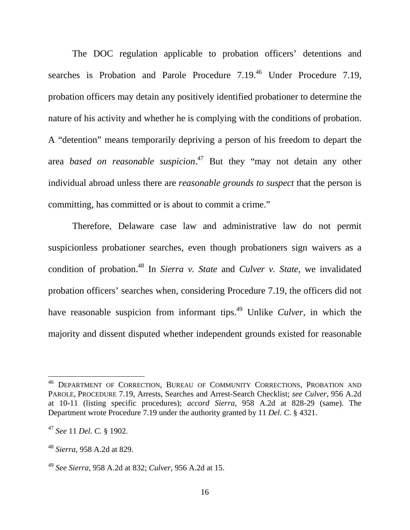The DOC regulation applicable to probation officers' detentions and searches is Probation and Parole Procedure  $7.19<sup>46</sup>$  Under Procedure 7.19, probation officers may detain any positively identified probationer to determine the nature of his activity and whether he is complying with the conditions of probation. A "detention" means temporarily depriving a person of his freedom to depart the area *based on reasonable suspicion*. <sup>47</sup> But they "may not detain any other individual abroad unless there are *reasonable grounds to suspect* that the person is committing, has committed or is about to commit a crime."

Therefore, Delaware case law and administrative law do not permit suspicionless probationer searches, even though probationers sign waivers as a condition of probation.<sup>48</sup> In *Sierra v. State* and *Culver v. State*, we invalidated probation officers' searches when, considering Procedure 7.19, the officers did not have reasonable suspicion from informant tips.<sup>49</sup> Unlike *Culver*, in which the majority and dissent disputed whether independent grounds existed for reasonable

<sup>&</sup>lt;sup>46</sup> DEPARTMENT OF CORRECTION, BUREAU OF COMMUNITY CORRECTIONS, PROBATION AND PAROLE, PROCEDURE 7.19, Arrests, Searches and Arrest-Search Checklist; *see Culver*, 956 A.2d at 10-11 (listing specific procedures); *accord Sierra*, 958 A.2d at 828-29 (same). The Department wrote Procedure 7.19 under the authority granted by 11 *Del. C.* § 4321.

<sup>47</sup> *See* 11 *Del. C.* § 1902.

<sup>48</sup> *Sierra*, 958 A.2d at 829.

<sup>49</sup> *See Sierra*, 958 A.2d at 832; *Culver*, 956 A.2d at 15.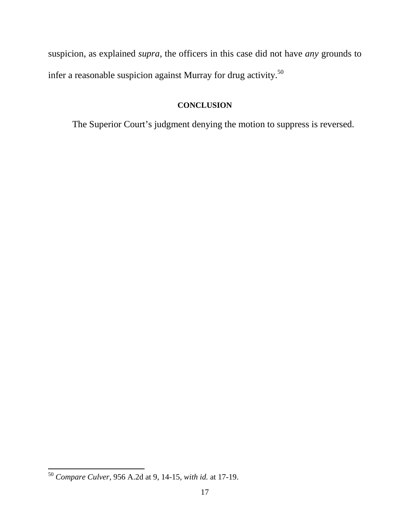suspicion, as explained *supra*, the officers in this case did not have *any* grounds to infer a reasonable suspicion against Murray for drug activity.<sup>50</sup>

# **CONCLUSION**

The Superior Court's judgment denying the motion to suppress is reversed.

<sup>50</sup> *Compare Culver*, 956 A.2d at 9, 14-15, *with id.* at 17-19.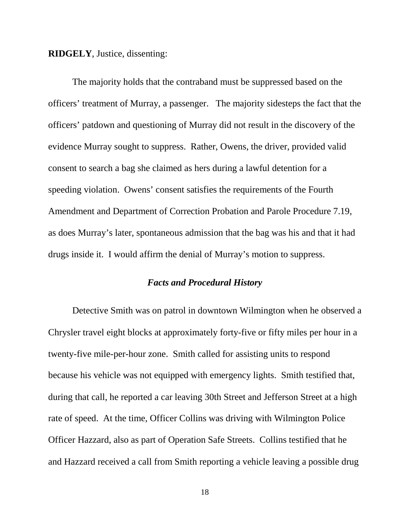#### **RIDGELY**, Justice, dissenting:

 The majority holds that the contraband must be suppressed based on the officers' treatment of Murray, a passenger. The majority sidesteps the fact that the officers' patdown and questioning of Murray did not result in the discovery of the evidence Murray sought to suppress. Rather, Owens, the driver, provided valid consent to search a bag she claimed as hers during a lawful detention for a speeding violation. Owens' consent satisfies the requirements of the Fourth Amendment and Department of Correction Probation and Parole Procedure 7.19, as does Murray's later, spontaneous admission that the bag was his and that it had drugs inside it.I would affirm the denial of Murray's motion to suppress.

### *Facts and Procedural History*

 Detective Smith was on patrol in downtown Wilmington when he observed a Chrysler travel eight blocks at approximately forty-five or fifty miles per hour in a twenty-five mile-per-hour zone. Smith called for assisting units to respond because his vehicle was not equipped with emergency lights. Smith testified that, during that call, he reported a car leaving 30th Street and Jefferson Street at a high rate of speed. At the time, Officer Collins was driving with Wilmington Police Officer Hazzard, also as part of Operation Safe Streets. Collins testified that he and Hazzard received a call from Smith reporting a vehicle leaving a possible drug

18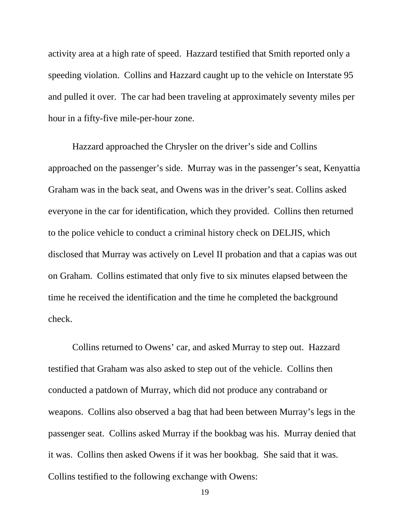activity area at a high rate of speed. Hazzard testified that Smith reported only a speeding violation. Collins and Hazzard caught up to the vehicle on Interstate 95 and pulled it over. The car had been traveling at approximately seventy miles per hour in a fifty-five mile-per-hour zone.

Hazzard approached the Chrysler on the driver's side and Collins approached on the passenger's side. Murray was in the passenger's seat, Kenyattia Graham was in the back seat, and Owens was in the driver's seat. Collins asked everyone in the car for identification, which they provided. Collins then returned to the police vehicle to conduct a criminal history check on DELJIS, which disclosed that Murray was actively on Level II probation and that a capias was out on Graham. Collins estimated that only five to six minutes elapsed between the time he received the identification and the time he completed the background check.

 Collins returned to Owens' car, and asked Murray to step out. Hazzard testified that Graham was also asked to step out of the vehicle. Collins then conducted a patdown of Murray, which did not produce any contraband or weapons. Collins also observed a bag that had been between Murray's legs in the passenger seat. Collins asked Murray if the bookbag was his. Murray denied that it was. Collins then asked Owens if it was her bookbag. She said that it was. Collins testified to the following exchange with Owens:

19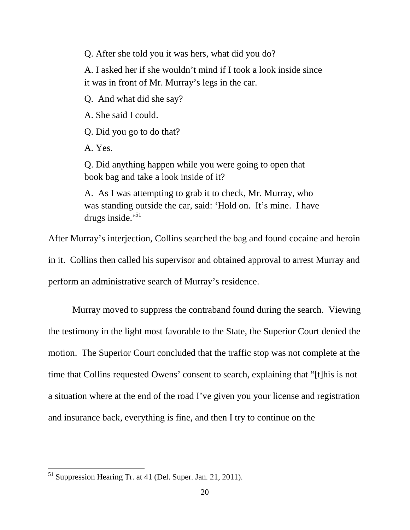Q. After she told you it was hers, what did you do?

A. I asked her if she wouldn't mind if I took a look inside since it was in front of Mr. Murray's legs in the car.

Q. And what did she say?

A. She said I could.

Q. Did you go to do that?

A. Yes.

Q. Did anything happen while you were going to open that book bag and take a look inside of it?

A. As I was attempting to grab it to check, Mr. Murray, who was standing outside the car, said: 'Hold on. It's mine. I have drugs inside.'<sup>51</sup>

After Murray's interjection, Collins searched the bag and found cocaine and heroin

in it. Collins then called his supervisor and obtained approval to arrest Murray and perform an administrative search of Murray's residence.

 Murray moved to suppress the contraband found during the search. Viewing the testimony in the light most favorable to the State, the Superior Court denied the motion. The Superior Court concluded that the traffic stop was not complete at the time that Collins requested Owens' consent to search, explaining that "[t]his is not a situation where at the end of the road I've given you your license and registration and insurance back, everything is fine, and then I try to continue on the

<sup>51</sup> Suppression Hearing Tr. at 41 (Del. Super. Jan. 21, 2011).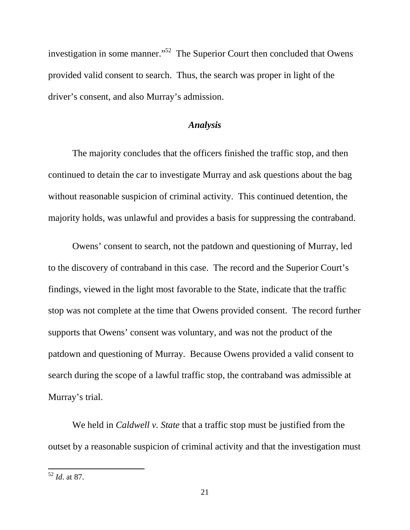investigation in some manner."<sup>52</sup> The Superior Court then concluded that Owens provided valid consent to search. Thus, the search was proper in light of the driver's consent, and also Murray's admission.

## *Analysis*

 The majority concludes that the officers finished the traffic stop, and then continued to detain the car to investigate Murray and ask questions about the bag without reasonable suspicion of criminal activity. This continued detention, the majority holds, was unlawful and provides a basis for suppressing the contraband.

 Owens' consent to search, not the patdown and questioning of Murray, led to the discovery of contraband in this case. The record and the Superior Court's findings, viewed in the light most favorable to the State, indicate that the traffic stop was not complete at the time that Owens provided consent. The record further supports that Owens' consent was voluntary, and was not the product of the patdown and questioning of Murray. Because Owens provided a valid consent to search during the scope of a lawful traffic stop, the contraband was admissible at Murray's trial.

 We held in *Caldwell v. State* that a traffic stop must be justified from the outset by a reasonable suspicion of criminal activity and that the investigation must

<sup>52</sup> *Id*. at 87.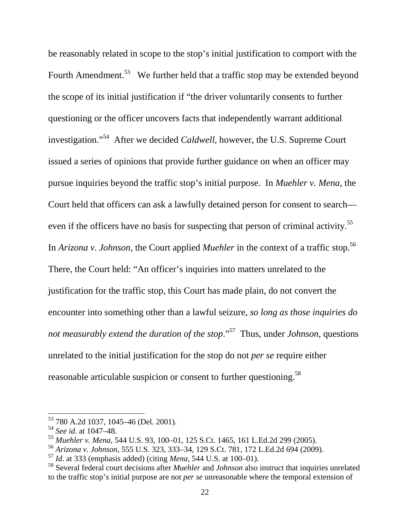be reasonably related in scope to the stop's initial justification to comport with the Fourth Amendment.<sup>53</sup> We further held that a traffic stop may be extended beyond the scope of its initial justification if "the driver voluntarily consents to further questioning or the officer uncovers facts that independently warrant additional investigation."<sup>54</sup> After we decided *Caldwell*, however, the U.S. Supreme Court issued a series of opinions that provide further guidance on when an officer may pursue inquiries beyond the traffic stop's initial purpose. In *Muehler v. Mena*, the Court held that officers can ask a lawfully detained person for consent to search even if the officers have no basis for suspecting that person of criminal activity.<sup>55</sup> In *Arizona v. Johnson*, the Court applied *Muehler* in the context of a traffic stop.<sup>56</sup> There, the Court held: "An officer's inquiries into matters unrelated to the justification for the traffic stop, this Court has made plain, do not convert the encounter into something other than a lawful seizure, *so long as those inquiries do not measurably extend the duration of the stop.*"<sup>57</sup> Thus, under *Johnson*, questions unrelated to the initial justification for the stop do not *per se* require either reasonable articulable suspicion or consent to further questioning.<sup>58</sup>

<sup>53</sup> 780 A.2d 1037, 1045–46 (Del. 2001).

<sup>54</sup> *See id*. at 1047–48.

<sup>55</sup> *Muehler v. Mena*, 544 U.S. 93, 100–01, 125 S.Ct. 1465, 161 L.Ed.2d 299 (2005).

<sup>56</sup> *Arizona v. Johnson,* 555 U.S. 323, 333–34, 129 S.Ct. 781, 172 L.Ed.2d 694 (2009).

<sup>57</sup> *Id*. at 333 (emphasis added) (citing *Mena*, 544 U.S. at 100–01).

<sup>58</sup> Several federal court decisions after *Muehler* and *Johnson* also instruct that inquiries unrelated to the traffic stop's initial purpose are not *per se* unreasonable where the temporal extension of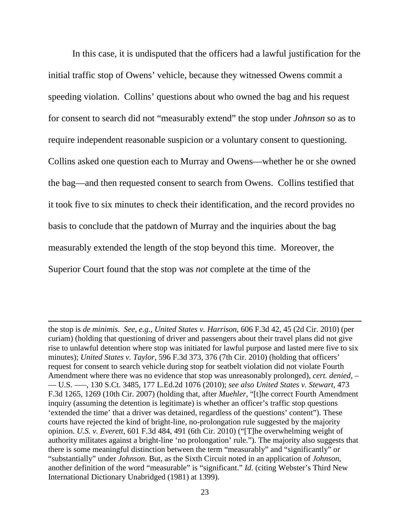In this case, it is undisputed that the officers had a lawful justification for the initial traffic stop of Owens' vehicle, because they witnessed Owens commit a speeding violation. Collins' questions about who owned the bag and his request for consent to search did not "measurably extend" the stop under *Johnson* so as to require independent reasonable suspicion or a voluntary consent to questioning. Collins asked one question each to Murray and Owens—whether he or she owned the bag—and then requested consent to search from Owens. Collins testified that it took five to six minutes to check their identification, and the record provides no basis to conclude that the patdown of Murray and the inquiries about the bag measurably extended the length of the stop beyond this time. Moreover, the Superior Court found that the stop was *not* complete at the time of the

the stop is *de minimis*. *See, e.g*., *United States v. Harrison*, 606 F.3d 42, 45 (2d Cir. 2010) (per curiam) (holding that questioning of driver and passengers about their travel plans did not give rise to unlawful detention where stop was initiated for lawful purpose and lasted mere five to six minutes); *United States v. Taylor*, 596 F.3d 373, 376 (7th Cir. 2010) (holding that officers' request for consent to search vehicle during stop for seatbelt violation did not violate Fourth Amendment where there was no evidence that stop was unreasonably prolonged), *cert. denied*, – –– U.S. –––, 130 S.Ct. 3485, 177 L.Ed.2d 1076 (2010); *see also United States v. Stewart*, 473 F.3d 1265, 1269 (10th Cir. 2007) (holding that, after *Muehler*, "[t]he correct Fourth Amendment inquiry (assuming the detention is legitimate) is whether an officer's traffic stop questions 'extended the time' that a driver was detained, regardless of the questions' content"). These courts have rejected the kind of bright-line, no-prolongation rule suggested by the majority opinion. *U.S. v. Everett*, 601 F.3d 484, 491 (6th Cir. 2010) ("[T]he overwhelming weight of authority militates against a bright-line 'no prolongation' rule."). The majority also suggests that there is some meaningful distinction between the term "measurably" and "significantly" or "substantially" under *Johnson*. But, as the Sixth Circuit noted in an application of *Johnson*, another definition of the word "measurable" is "significant." *Id*. (citing Webster's Third New International Dictionary Unabridged (1981) at 1399).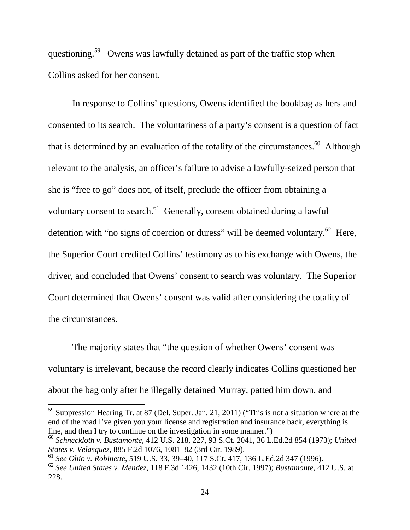questioning.<sup>59</sup> Owens was lawfully detained as part of the traffic stop when Collins asked for her consent.

 In response to Collins' questions, Owens identified the bookbag as hers and consented to its search. The voluntariness of a party's consent is a question of fact that is determined by an evaluation of the totality of the circumstances. $60$  Although relevant to the analysis, an officer's failure to advise a lawfully-seized person that she is "free to go" does not, of itself, preclude the officer from obtaining a voluntary consent to search.<sup>61</sup> Generally, consent obtained during a lawful detention with "no signs of coercion or duress" will be deemed voluntary.<sup>62</sup> Here, the Superior Court credited Collins' testimony as to his exchange with Owens, the driver, and concluded that Owens' consent to search was voluntary. The Superior Court determined that Owens' consent was valid after considering the totality of the circumstances.

 The majority states that "the question of whether Owens' consent was voluntary is irrelevant, because the record clearly indicates Collins questioned her about the bag only after he illegally detained Murray, patted him down, and

<sup>59</sup> Suppression Hearing Tr. at 87 (Del. Super. Jan. 21, 2011) ("This is not a situation where at the end of the road I've given you your license and registration and insurance back, everything is fine, and then I try to continue on the investigation in some manner.")

<sup>60</sup> *Schneckloth v. Bustamonte*, 412 U.S. 218, 227, 93 S.Ct. 2041, 36 L.Ed.2d 854 (1973); *United States v. Velasquez*, 885 F.2d 1076, 1081–82 (3rd Cir. 1989).

<sup>61</sup> *See Ohio v. Robinette*, 519 U.S. 33, 39–40, 117 S.Ct. 417, 136 L.Ed.2d 347 (1996).

<sup>62</sup> *See United States v. Mendez*, 118 F.3d 1426, 1432 (10th Cir. 1997); *Bustamonte*, 412 U.S. at 228.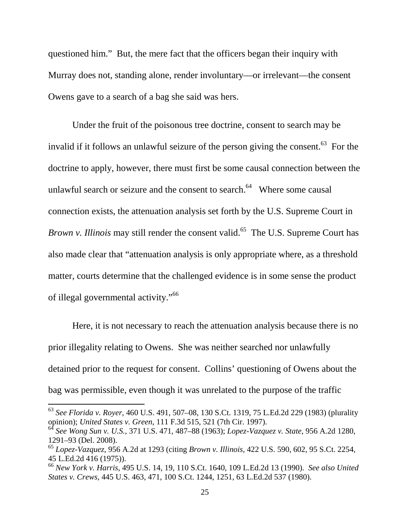questioned him." But, the mere fact that the officers began their inquiry with Murray does not, standing alone, render involuntary—or irrelevant—the consent Owens gave to a search of a bag she said was hers.

 Under the fruit of the poisonous tree doctrine, consent to search may be invalid if it follows an unlawful seizure of the person giving the consent.<sup>63</sup> For the doctrine to apply, however, there must first be some causal connection between the unlawful search or seizure and the consent to search. $64$  Where some causal connection exists, the attenuation analysis set forth by the U.S. Supreme Court in *Brown v. Illinois* may still render the consent valid.<sup>65</sup> The U.S. Supreme Court has also made clear that "attenuation analysis is only appropriate where, as a threshold matter, courts determine that the challenged evidence is in some sense the product of illegal governmental activity."<sup>66</sup>

 Here, it is not necessary to reach the attenuation analysis because there is no prior illegality relating to Owens. She was neither searched nor unlawfully detained prior to the request for consent. Collins' questioning of Owens about the bag was permissible, even though it was unrelated to the purpose of the traffic

<sup>63</sup> *See Florida v. Royer*, 460 U.S. 491, 507–08, 130 S.Ct. 1319, 75 L.Ed.2d 229 (1983) (plurality opinion); *United States v. Green*, 111 F.3d 515, 521 (7th Cir. 1997).

<sup>64</sup> *See Wong Sun v. U.S.,* 371 U.S. 471, 487–88 (1963); *Lopez-Vazquez v. State*, 956 A.2d 1280, 1291–93 (Del. 2008).

<sup>65</sup> *Lopez-Vazquez*, 956 A.2d at 1293 (citing *Brown v. Illinois,* 422 U.S. 590, 602, 95 S.Ct. 2254, 45 L.Ed.2d 416 (1975)).

<sup>66</sup> *New York v. Harris*, 495 U.S. 14, 19, 110 S.Ct. 1640, 109 L.Ed.2d 13 (1990). *See also United States v. Crews*, 445 U.S. 463, 471, 100 S.Ct. 1244, 1251, 63 L.Ed.2d 537 (1980).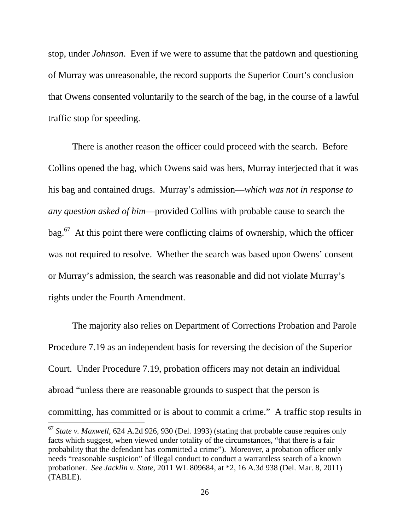stop, under *Johnson*. Even if we were to assume that the patdown and questioning of Murray was unreasonable, the record supports the Superior Court's conclusion that Owens consented voluntarily to the search of the bag, in the course of a lawful traffic stop for speeding.

 There is another reason the officer could proceed with the search. Before Collins opened the bag, which Owens said was hers, Murray interjected that it was his bag and contained drugs. Murray's admission—*which was not in response to any question asked of him*—provided Collins with probable cause to search the  $bag.<sup>67</sup>$  At this point there were conflicting claims of ownership, which the officer was not required to resolve. Whether the search was based upon Owens' consent or Murray's admission, the search was reasonable and did not violate Murray's rights under the Fourth Amendment.

The majority also relies on Department of Corrections Probation and Parole Procedure 7.19 as an independent basis for reversing the decision of the Superior Court. Under Procedure 7.19, probation officers may not detain an individual abroad "unless there are reasonable grounds to suspect that the person is committing, has committed or is about to commit a crime." A traffic stop results in

<sup>67</sup> *State v. Maxwell*, 624 A.2d 926, 930 (Del. 1993) (stating that probable cause requires only facts which suggest, when viewed under totality of the circumstances, "that there is a fair probability that the defendant has committed a crime").Moreover, a probation officer only needs "reasonable suspicion" of illegal conduct to conduct a warrantless search of a known probationer. *See Jacklin v. State*, 2011 WL 809684, at \*2, 16 A.3d 938 (Del. Mar. 8, 2011) (TABLE).